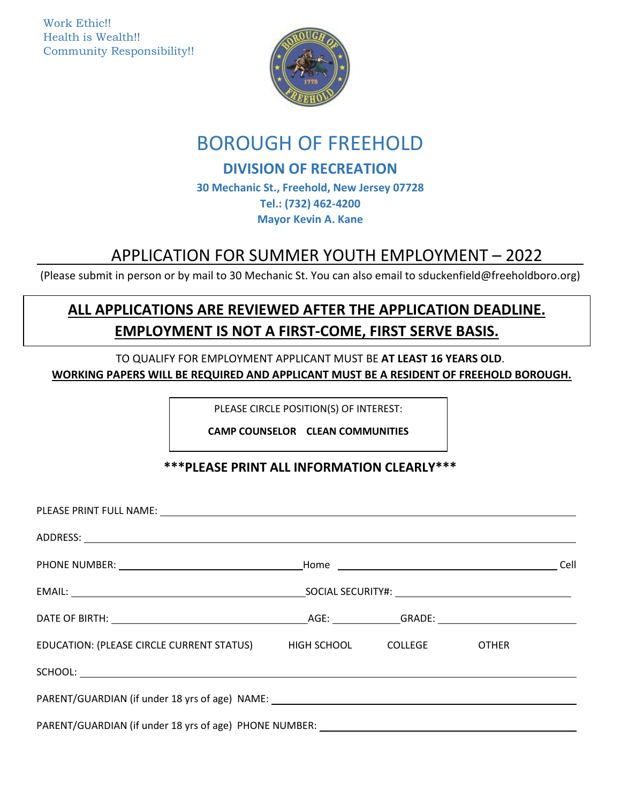Work Ethic!! Health is Wealth!! Community Responsibility!!



# BOROUGH OF FREEHOLD

## **DIVISION OF RECREATION**

**30 Mechanic St., Freehold, New Jersey 07728 Tel.: (732) 462-4200 Mayor Kevin A. Kane**

# APPLICATION FOR SUMMER YOUTH EMPLOYMENT – 2022<br>(Please submit in person or by mail to 30 Mechanic St. You can also email to sduckenfield@freeholdboro.org)

# **ALL APPLICATIONS ARE REVIEWED AFTER THE APPLICATION DEADLINE. EMPLOYMENT IS NOT A FIRST-COME, FIRST SERVE BASIS.**

TO QUALIFY FOR EMPLOYMENT APPLICANT MUST BE **AT LEAST 16 YEARS OLD**. **WORKING PAPERS WILL BE REQUIRED AND APPLICANT MUST BE A RESIDENT OF FREEHOLD BOROUGH.**

PLEASE CIRCLE POSITION(S) OF INTEREST:

**CAMP COUNSELOR CLEAN COMMUNITIES**

## **\*\*\*PLEASE PRINT ALL INFORMATION CLEARLY\*\*\***

| PLEASE PRINT FULL NAME: NAME: NAME AND A SERIES AND A SERIES OF THE SERIES OF THE SERIES OF THE SERIES OF THE |  |  |  |      |
|---------------------------------------------------------------------------------------------------------------|--|--|--|------|
|                                                                                                               |  |  |  |      |
|                                                                                                               |  |  |  | Cell |
|                                                                                                               |  |  |  |      |
|                                                                                                               |  |  |  |      |
| EDUCATION: (PLEASE CIRCLE CURRENT STATUS) HIGH SCHOOL COLLEGE OTHER                                           |  |  |  |      |
|                                                                                                               |  |  |  |      |
|                                                                                                               |  |  |  |      |
| PARENT/GUARDIAN (if under 18 yrs of age) PHONE NUMBER: __________________________                             |  |  |  |      |